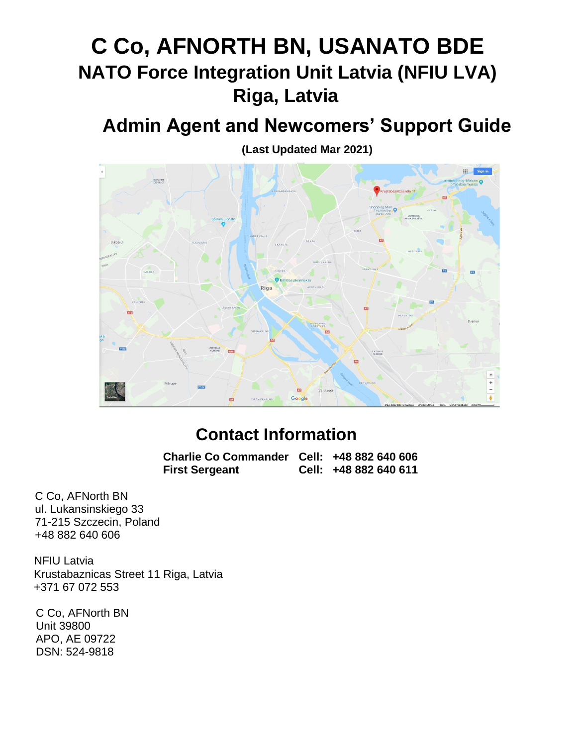# **C Co, AFNORTH BN, USANATO BDE NATO Force Integration Unit Latvia (NFIU LVA) Riga, Latvia**

## **Admin Agent and Newcomers' Support Guide**

**(Last Updated Mar 2021)**



## **Contact Information**

**Charlie Co Commander Cell: +48 882 640 606 First Sergeant Cell: +48 882 640 611**

C Co, AFNorth BN ul. Lukansinskiego 33 71-215 Szczecin, Poland +48 882 640 606

NFIU Latvia Krustabaznicas Street 11 Riga, Latvia +371 67 072 553

C Co, AFNorth BN Unit 39800 APO, AE 09722 DSN: 524-9818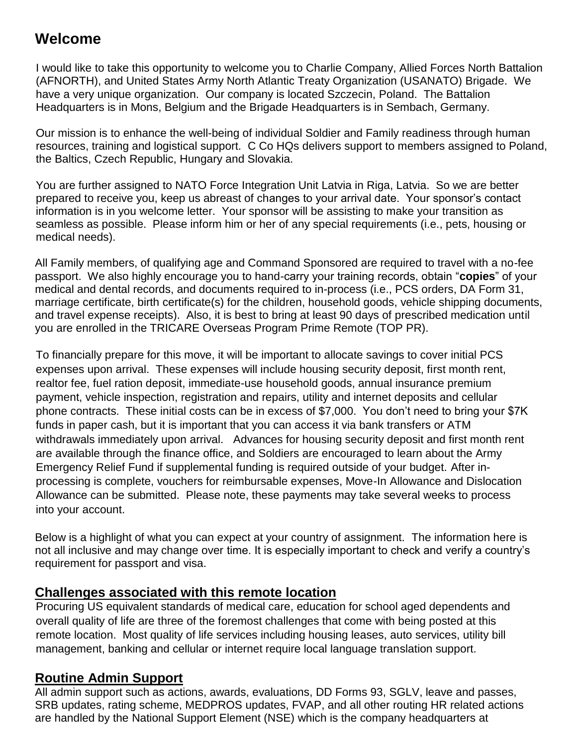### **Welcome**

I would like to take this opportunity to welcome you to Charlie Company, Allied Forces North Battalion (AFNORTH), and United States Army North Atlantic Treaty Organization (USANATO) Brigade. We have a very unique organization. Our company is located Szczecin, Poland. The Battalion Headquarters is in Mons, Belgium and the Brigade Headquarters is in Sembach, Germany.

Our mission is to enhance the well-being of individual Soldier and Family readiness through human resources, training and logistical support. C Co HQs delivers support to members assigned to Poland, the Baltics, Czech Republic, Hungary and Slovakia.

You are further assigned to NATO Force Integration Unit Latvia in Riga, Latvia. So we are better prepared to receive you, keep us abreast of changes to your arrival date. Your sponsor's contact information is in you welcome letter. Your sponsor will be assisting to make your transition as seamless as possible. Please inform him or her of any special requirements (i.e., pets, housing or medical needs).

All Family members, of qualifying age and Command Sponsored are required to travel with a no-fee passport. We also highly encourage you to hand-carry your training records, obtain "**copies**" of your medical and dental records, and documents required to in-process (i.e., PCS orders, DA Form 31, marriage certificate, birth certificate(s) for the children, household goods, vehicle shipping documents, and travel expense receipts). Also, it is best to bring at least 90 days of prescribed medication until you are enrolled in the TRICARE Overseas Program Prime Remote (TOP PR).

To financially prepare for this move, it will be important to allocate savings to cover initial PCS expenses upon arrival. These expenses will include housing security deposit, first month rent, realtor fee, fuel ration deposit, immediate-use household goods, annual insurance premium payment, vehicle inspection, registration and repairs, utility and internet deposits and cellular phone contracts. These initial costs can be in excess of \$7,000. You don't need to bring your \$7K funds in paper cash, but it is important that you can access it via bank transfers or ATM withdrawals immediately upon arrival. Advances for housing security deposit and first month rent are available through the finance office, and Soldiers are encouraged to learn about the Army Emergency Relief Fund if supplemental funding is required outside of your budget. After inprocessing is complete, vouchers for reimbursable expenses, Move-In Allowance and Dislocation Allowance can be submitted. Please note, these payments may take several weeks to process into your account.

Below is a highlight of what you can expect at your country of assignment. The information here is not all inclusive and may change over time. It is especially important to check and verify a country's requirement for passport and visa.

### **Challenges associated with this remote location**

Procuring US equivalent standards of medical care, education for school aged dependents and overall quality of life are three of the foremost challenges that come with being posted at this remote location. Most quality of life services including housing leases, auto services, utility bill management, banking and cellular or internet require local language translation support.

### **Routine Admin Support**

All admin support such as actions, awards, evaluations, DD Forms 93, SGLV, leave and passes, SRB updates, rating scheme, MEDPROS updates, FVAP, and all other routing HR related actions are handled by the National Support Element (NSE) which is the company headquarters at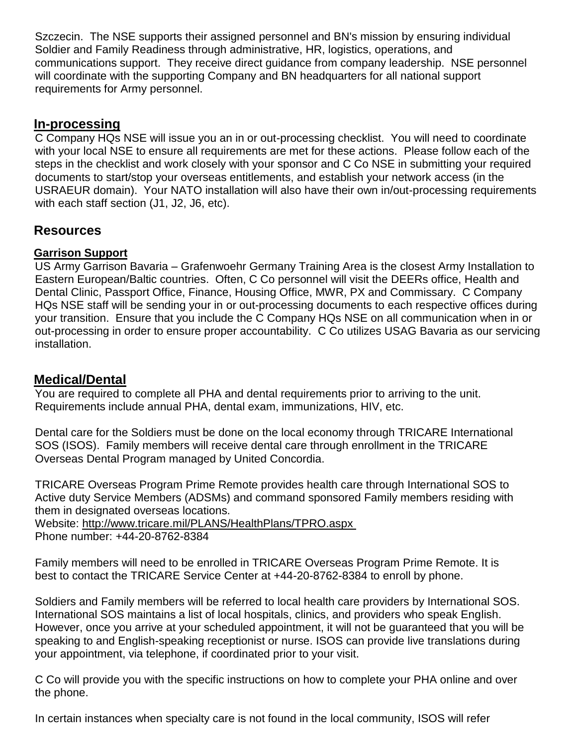Szczecin. The NSE supports their assigned personnel and BN's mission by ensuring individual Soldier and Family Readiness through administrative, HR, logistics, operations, and communications support. They receive direct guidance from company leadership. NSE personnel will coordinate with the supporting Company and BN headquarters for all national support requirements for Army personnel.

### **In-processing**

C Company HQs NSE will issue you an in or out-processing checklist. You will need to coordinate with your local NSE to ensure all requirements are met for these actions. Please follow each of the steps in the checklist and work closely with your sponsor and C Co NSE in submitting your required documents to start/stop your overseas entitlements, and establish your network access (in the USRAEUR domain). Your NATO installation will also have their own in/out-processing requirements with each staff section (J1, J2, J6, etc).

### **Resources**

### **Garrison Support**

US Army Garrison Bavaria – Grafenwoehr Germany Training Area is the closest Army Installation to Eastern European/Baltic countries. Often, C Co personnel will visit the DEERs office, Health and Dental Clinic, Passport Office, Finance, Housing Office, MWR, PX and Commissary. C Company HQs NSE staff will be sending your in or out-processing documents to each respective offices during your transition. Ensure that you include the C Company HQs NSE on all communication when in or out-processing in order to ensure proper accountability. C Co utilizes USAG Bavaria as our servicing installation.

### **Medical/Dental**

You are required to complete all PHA and dental requirements prior to arriving to the unit. Requirements include annual PHA, dental exam, immunizations, HIV, etc.

Dental care for the Soldiers must be done on the local economy through TRICARE International SOS (ISOS). Family members will receive dental care through enrollment in the TRICARE Overseas Dental Program managed by United Concordia.

TRICARE Overseas Program Prime Remote provides health care through International SOS to Active duty Service Members (ADSMs) and command sponsored Family members residing with them in designated overseas locations.

Website:<http://www.tricare.mil/PLANS/HealthPlans/TPRO.aspx>

Phone number: +44-20-8762-8384

Family members will need to be enrolled in TRICARE Overseas Program Prime Remote. It is best to contact the TRICARE Service Center at +44-20-8762-8384 to enroll by phone.

Soldiers and Family members will be referred to local health care providers by International SOS. International SOS maintains a list of local hospitals, clinics, and providers who speak English. However, once you arrive at your scheduled appointment, it will not be guaranteed that you will be speaking to and English-speaking receptionist or nurse. ISOS can provide live translations during your appointment, via telephone, if coordinated prior to your visit.

C Co will provide you with the specific instructions on how to complete your PHA online and over the phone.

In certain instances when specialty care is not found in the local community, ISOS will refer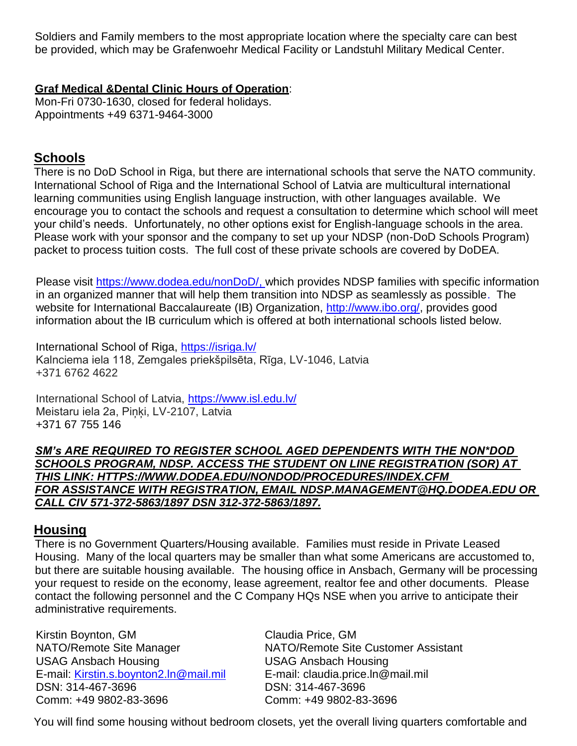Soldiers and Family members to the most appropriate location where the specialty care can best be provided, which may be Grafenwoehr Medical Facility or Landstuhl Military Medical Center.

#### **Graf Medical &Dental Clinic Hours of Operation**:

Mon-Fri 0730-1630, closed for federal holidays. Appointments +49 6371-9464-3000

### **Schools**

There is no DoD School in Riga, but there are international schools that serve the NATO community. International School of Riga and the International School of Latvia are multicultural international learning communities using English language instruction, with other languages available. We encourage you to contact the schools and request a consultation to determine which school will meet your child's needs. Unfortunately, no other options exist for English-language schools in the area. Please work with your sponsor and the company to set up your NDSP (non-DoD Schools Program) packet to process tuition costs. The full cost of these private schools are covered by DoDEA.

Please visit [https://www.dodea.edu/nonDoD/,](https://www.dodea.edu/nonDoD/) which provides NDSP families with specific information in an organized manner that will help them transition into NDSP as seamlessly as possible. The website for International Baccalaureate (IB) Organization, [http://www.ibo.org/,](http://www.ibo.org/) provides good information about the IB curriculum which is offered at both international schools listed below.

International School of Riga,<https://isriga.lv/> Kalnciema iela 118, Zemgales priekšpilsēta, Rīga, LV-1046, Latvia +371 6762 4622

International School of Latvia,<https://www.isl.edu.lv/> Meistaru iela 2a, Pinki, LV-2107, Latvia [+371 67 755 146](https://www.google.com/search?q=international+school+riga&npsic=0&rflfq=1&rlha=0&rllag=56940179,23971364,4013&tbm=lcl&ved=2ahUKEwj5l9KH6LjdAhVlk-AKHXIjBlMQtgN6BAgCEAQ&tbs=lrf:!2m1!1e2!3sIAE,lf:1,lf_ui:2&rldoc=1)

*SM's ARE REQUIRED TO REGISTER SCHOOL AGED DEPENDENTS WITH THE NON\*DOD SCHOOLS PROGRAM, NDSP. ACCESS THE STUDENT ON LINE REGISTRATION (SOR) AT THIS LINK: HTTPS://WWW.DODEA.EDU/NONDOD/PROCEDURES/INDEX.CFM FOR ASSISTANCE WITH REGISTRATION, EMAIL NDSP.MANAGEMENT@HQ.DODEA.EDU OR CALL CIV 571-372-5863/1897 DSN 312-372-5863/1897.*

### **Housing**

There is no Government Quarters/Housing available. Families must reside in Private Leased Housing. Many of the local quarters may be smaller than what some Americans are accustomed to, but there are suitable housing available. The housing office in Ansbach, Germany will be processing your request to reside on the economy, lease agreement, realtor fee and other documents. Please contact the following personnel and the C Company HQs NSE when you arrive to anticipate their administrative requirements.

Kirstin Boynton, GM Claudia Price, GM USAG Ansbach Housing USAG Ansbach Housing E-mail: [Kirstin.s.boynton2.ln@mail.mil](mailto:Kirstin.s.boynton2.ln@mail.mil) E-mail: claudia.price.ln@mail.mil DSN: 314-467-3696 DSN: 314-467-3696 Comm: +49 9802-83-3696 Comm: +49 9802-83-3696

NATO/Remote Site Manager NATO/Remote Site Customer Assistant

You will find some housing without bedroom closets, yet the overall living quarters comfortable and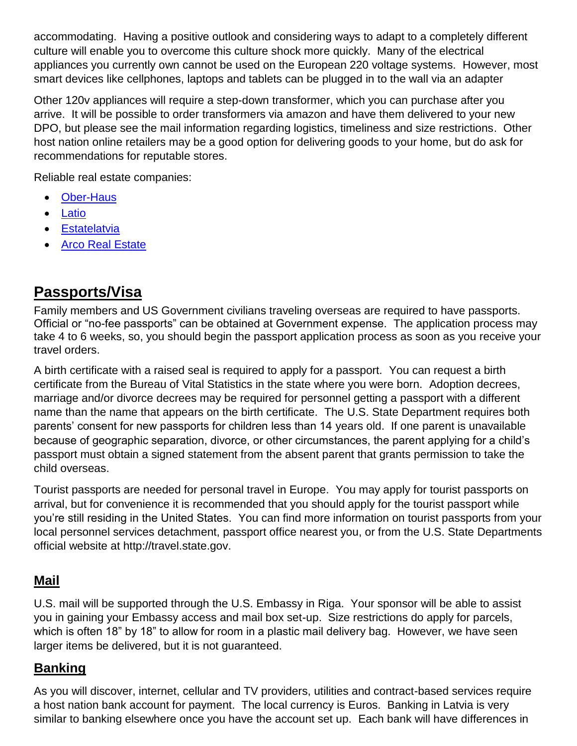accommodating. Having a positive outlook and considering ways to adapt to a completely different culture will enable you to overcome this culture shock more quickly. Many of the electrical appliances you currently own cannot be used on the European 220 voltage systems. However, most smart devices like cellphones, laptops and tablets can be plugged in to the wall via an adapter

Other 120v appliances will require a step-down transformer, which you can purchase after you arrive. It will be possible to order transformers via amazon and have them delivered to your new DPO, but please see the mail information regarding logistics, timeliness and size restrictions. Other host nation online retailers may be a good option for delivering goods to your home, but do ask for recommendations for reputable stores.

Reliable real estate companies:

- [Ober-Haus](http://www.ober-haus.lv/)
- [Latio](http://latio.lv/en)
- **[Estatelatvia](http://estatelatvia.com/en/)**
- [Arco Real Estate](http://www.arcoreal.lv/en/)

### **Passports/Visa**

Family members and US Government civilians traveling overseas are required to have passports. Official or "no-fee passports" can be obtained at Government expense. The application process may take 4 to 6 weeks, so, you should begin the passport application process as soon as you receive your travel orders.

A birth certificate with a raised seal is required to apply for a passport. You can request a birth certificate from the Bureau of Vital Statistics in the state where you were born. Adoption decrees, marriage and/or divorce decrees may be required for personnel getting a passport with a different name than the name that appears on the birth certificate. The U.S. State Department requires both parents' consent for new passports for children less than 14 years old. If one parent is unavailable because of geographic separation, divorce, or other circumstances, the parent applying for a child's passport must obtain a signed statement from the absent parent that grants permission to take the child overseas.

Tourist passports are needed for personal travel in Europe. You may apply for tourist passports on arrival, but for convenience it is recommended that you should apply for the tourist passport while you're still residing in the United States. You can find more information on tourist passports from your local personnel services detachment, passport office nearest you, or from the U.S. State Departments official website at [http://travel.state.gov.](http://travel.state.gov/)

### **Mail**

U.S. mail will be supported through the U.S. Embassy in Riga. Your sponsor will be able to assist you in gaining your Embassy access and mail box set-up. Size restrictions do apply for parcels, which is often 18" by 18" to allow for room in a plastic mail delivery bag. However, we have seen larger items be delivered, but it is not guaranteed.

### **Banking**

As you will discover, internet, cellular and TV providers, utilities and contract-based services require a host nation bank account for payment. The local currency is Euros. Banking in Latvia is very similar to banking elsewhere once you have the account set up. Each bank will have differences in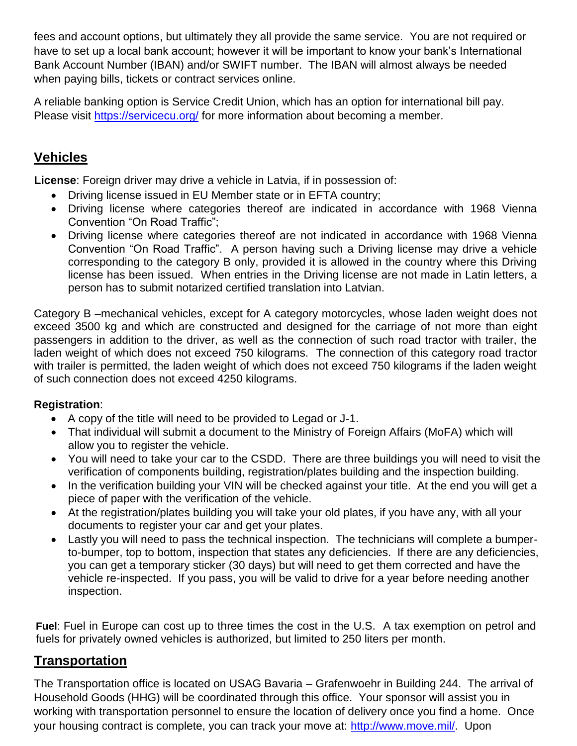fees and account options, but ultimately they all provide the same service. You are not required or have to set up a local bank account; however it will be important to know your bank's International Bank Account Number (IBAN) and/or SWIFT number. The IBAN will almost always be needed when paying bills, tickets or contract services online.

A reliable banking option is Service Credit Union, which has an option for international bill pay. Please visit<https://servicecu.org/> for more information about becoming a member.

### **Vehicles**

**License**: Foreign driver may drive a vehicle in Latvia, if in possession of:

- Driving license issued in EU Member state or in EFTA country;
- Driving license where categories thereof are indicated in accordance with 1968 Vienna Convention "On Road Traffic";
- Driving license where categories thereof are not indicated in accordance with 1968 Vienna Convention "On Road Traffic". A person having such a Driving license may drive a vehicle corresponding to the category B only, provided it is allowed in the country where this Driving license has been issued. When entries in the Driving license are not made in Latin letters, a person has to submit notarized certified translation into Latvian.

Category B –mechanical vehicles, except for A category motorcycles, whose laden weight does not exceed 3500 kg and which are constructed and designed for the carriage of not more than eight passengers in addition to the driver, as well as the connection of such road tractor with trailer, the laden weight of which does not exceed 750 kilograms. The connection of this category road tractor with trailer is permitted, the laden weight of which does not exceed 750 kilograms if the laden weight of such connection does not exceed 4250 kilograms.

#### **Registration**:

- A copy of the title will need to be provided to Legad or J-1.
- That individual will submit a document to the Ministry of Foreign Affairs (MoFA) which will allow you to register the vehicle.
- You will need to take your car to the CSDD. There are three buildings you will need to visit the verification of components building, registration/plates building and the inspection building.
- In the verification building your VIN will be checked against your title. At the end you will get a piece of paper with the verification of the vehicle.
- At the registration/plates building you will take your old plates, if you have any, with all your documents to register your car and get your plates.
- Lastly you will need to pass the technical inspection. The technicians will complete a bumperto-bumper, top to bottom, inspection that states any deficiencies. If there are any deficiencies, you can get a temporary sticker (30 days) but will need to get them corrected and have the vehicle re-inspected. If you pass, you will be valid to drive for a year before needing another inspection.

**Fuel**: Fuel in Europe can cost up to three times the cost in the U.S. A tax exemption on petrol and fuels for privately owned vehicles is authorized, but limited to 250 liters per month.

### **Transportation**

The Transportation office is located on USAG Bavaria – Grafenwoehr in Building 244. The arrival of Household Goods (HHG) will be coordinated through this office. Your sponsor will assist you in working with transportation personnel to ensure the location of delivery once you find a home. Once your housing contract is complete, you can track your move at: [http://www.move.mil/.](http://www.move.mil/) Upon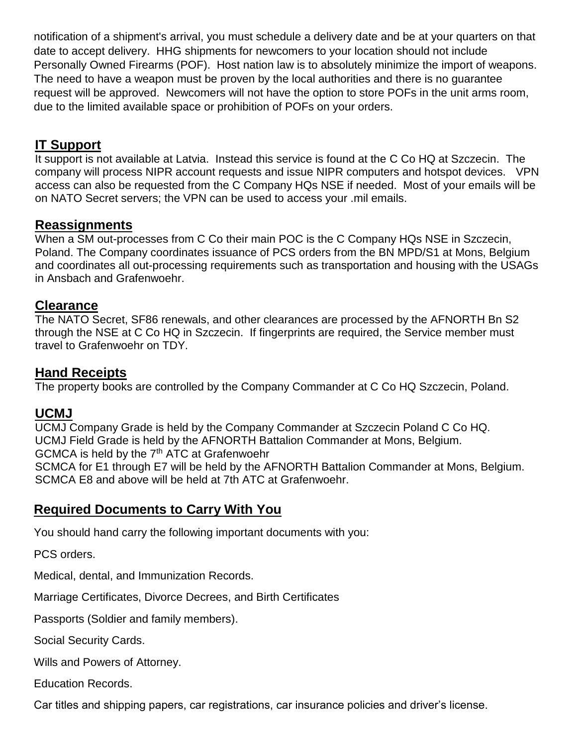notification of a shipment's arrival, you must schedule a delivery date and be at your quarters on that date to accept delivery. HHG shipments for newcomers to your location should not include Personally Owned Firearms (POF). Host nation law is to absolutely minimize the import of weapons. The need to have a weapon must be proven by the local authorities and there is no guarantee request will be approved. Newcomers will not have the option to store POFs in the unit arms room, due to the limited available space or prohibition of POFs on your orders.

### **IT Support**

It support is not available at Latvia. Instead this service is found at the C Co HQ at Szczecin. The company will process NIPR account requests and issue NIPR computers and hotspot devices. VPN access can also be requested from the C Company HQs NSE if needed. Most of your emails will be on NATO Secret servers; the VPN can be used to access your .mil emails.

### **Reassignments**

When a SM out-processes from C Co their main POC is the C Company HQs NSE in Szczecin, Poland. The Company coordinates issuance of PCS orders from the BN MPD/S1 at Mons, Belgium and coordinates all out-processing requirements such as transportation and housing with the USAGs in Ansbach and Grafenwoehr.

### **Clearance**

The NATO Secret, SF86 renewals, and other clearances are processed by the AFNORTH Bn S2 through the NSE at C Co HQ in Szczecin. If fingerprints are required, the Service member must travel to Grafenwoehr on TDY.

### **Hand Receipts**

The property books are controlled by the Company Commander at C Co HQ Szczecin, Poland.

### **UCMJ**

UCMJ Company Grade is held by the Company Commander at Szczecin Poland C Co HQ. UCMJ Field Grade is held by the AFNORTH Battalion Commander at Mons, Belgium. GCMCA is held by the 7<sup>th</sup> ATC at Grafenwoehr SCMCA for E1 through E7 will be held by the AFNORTH Battalion Commander at Mons, Belgium. SCMCA E8 and above will be held at 7th ATC at Grafenwoehr.

### **Required Documents to Carry With You**

You should hand carry the following important documents with you:

PCS orders.

Medical, dental, and Immunization Records.

Marriage Certificates, Divorce Decrees, and Birth Certificates

Passports (Soldier and family members).

Social Security Cards.

Wills and Powers of Attorney.

Education Records.

Car titles and shipping papers, car registrations, car insurance policies and driver's license.